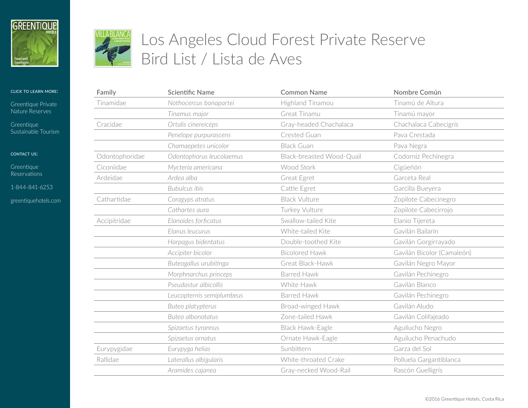



[Greentique Private](http://greentiquehotels.com/nature-reserves)  [Nature Reserves](http://greentiquehotels.com/nature-reserves)

**Greentique** [Sustainable Tourism](http://greentiquehotels.com/sustainability)

contact us:

**Greentique** [Reserv](http://greentiquehotels.com/reservations)ations

1-844-841-6253

[greentiquehotels.com](http://greentiquehotels.com)

# Los Angeles Cloud Forest Private Reserve Bird List / Lista de Aves **& NATURE RESERVE**

| Family         | <b>Scientific Name</b>    | <b>Common Name</b>        | Nombre Común               |
|----------------|---------------------------|---------------------------|----------------------------|
| Tinamidae      | Nothocercus bonapartei    | Highland Tinamou          | Tinamú de Altura           |
|                | Tinamus major             | Great Tinamu              | Tinamú mayor               |
| Cracidae       | Ortalis cinereiceps       | Gray-headed Chachalaca    | Chachalaca Cabecigrís      |
|                | Penelope purpurascens     | Crested Guan              | Pava Crestada              |
|                | Chamaepetes unicolor      | <b>Black Guan</b>         | Pava Negra                 |
| Odontophoridae | Odontophorus leucolaemus  | Black-breasted Wood-Quail | Codorniz Pechinegra        |
| Ciconiidae     | Mycteria americana        | Wood Stork                | Cigüeñón                   |
| Ardeidae       | Ardea alba                | Great Egret               | Garceta Real               |
|                | <b>Bubulcus ibis</b>      | Cattle Egret              | Garcilla Bueyera           |
| Cathartidae    | Coragyps atratus          | <b>Black Vulture</b>      | Zopilote Cabecinegro       |
|                | Cathartes aura            | Turkey Vulture            | Zopilote Cabecirrojo       |
| Accipitridae   | Elanoides forficatus      | Swallow-tailed Kite       | Elanio Tijereta            |
|                | Elanus leucurus           | White-tailed Kite         | Gavilán Bailarín           |
|                | Harpagus bidentatus       | Double-toothed Kite       | Gavilán Gorgirrayado       |
|                | Accipiter bicolor         | <b>Bicolored Hawk</b>     | Gavilán Bicolor (Camaleón) |
|                | Buteogallus urubitinga    | Great Black-Hawk          | Gavilán Negro Mayor        |
|                | Morphnarchus princeps     | Barred Hawk               | Gavilán Pechinegro         |
|                | Pseudastur albicollis     | White Hawk                | Gavilán Blanco             |
|                | Leucopternis semiplumbeus | <b>Barred Hawk</b>        | Gavilán Pechinegro         |
|                | Buteo platypterus         | Broad-winged Hawk         | Gavilán Aludo              |
|                | Buteo albonotatus         | Zone-tailed Hawk          | Gavilán Colifajeado        |
|                | Spizaetus tyrannus        | Black Hawk-Eagle          | Aguilucho Negro            |
|                | Spizaetus ornatus         | Ornate Hawk-Eagle         | Aguilucho Penachudo        |
| Eurypygidae    | Eurypyga helias           | Sunbittern                | Garza del Sol              |
| Rallidae       | Laterallus albigularis    | White-throated Crake      | Polluela Gargantiblanca    |
|                | Aramides cajanea          | Gray-necked Wood-Rail     | Rascón Guelligrís          |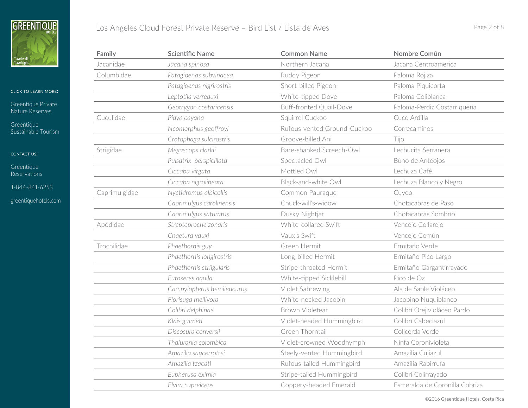

[Greentique Private](http://greentiquehotels.com/nature-reserves)  [Nature Reserves](http://greentiquehotels.com/nature-reserves)

[Greentique](http://greentiquehotels.com/sustainability)  [Sustainable Tourism](http://greentiquehotels.com/sustainability)

CONTACT US:

[Greentique](http://greentiquehotels.com/reservations)  [Reserv](http://greentiquehotels.com/reservations)ations

1-844-841-6253

[greentiquehotels.com](http://greentiquehotels.com)

| Los Angeles Cloud Forest Private Reserve - Bird List / Lista de Aves<br>Page 2 of 8 |  |
|-------------------------------------------------------------------------------------|--|
|-------------------------------------------------------------------------------------|--|

| Family        | <b>Scientific Name</b>     | <b>Common Name</b>             | Nombre Común                   |
|---------------|----------------------------|--------------------------------|--------------------------------|
| Jacanidae     | Jacana spinosa             | Northern Jacana                | Jacana Centroamerica           |
| Columbidae    | Patagioenas subvinacea     | Ruddy Pigeon                   | Paloma Rojiza                  |
|               | Patagioenas nigrirostris   | Short-billed Pigeon            | Paloma Piquicorta              |
|               | Leptotila verreauxi        | White-tipped Dove              | Paloma Coliblanca              |
|               | Geotrygon costaricensis    | <b>Buff-fronted Quail-Dove</b> | Paloma-Perdiz Costarriqueña    |
| Cuculidae     | Piaya cayana               | Squirrel Cuckoo                | Cuco Ardilla                   |
|               | Neomorphus geoffroyi       | Rufous-vented Ground-Cuckoo    | Correcaminos                   |
|               | Crotophaga sulcirostris    | Groove-billed Ani              | Tiio                           |
| Strigidae     | Megascops clarkii          | Bare-shanked Screech-Owl       | Lechucita Serranera            |
|               | Pulsatrix perspicillata    | Spectacled Owl                 | Búho de Anteojos               |
|               | Ciccaba virgata            | Mottled Owl                    | Lechuza Café                   |
|               | Ciccaba nigrolineata       | Black-and-white Owl            | Lechuza Blanco y Negro         |
| Caprimulgidae | Nyctidromus albicollis     | Common Pauraque                | Cuyeo                          |
|               | Caprimulgus carolinensis   | Chuck-will's-widow             | Chotacabras de Paso            |
|               | Caprimulgus saturatus      | Dusky Nightjar                 | Chotacabras Sombrío            |
| Apodidae      | Streptoprocne zonaris      | White-collared Swift           | Vencejo Collarejo              |
|               | Chaetura vauxi             | Vaux's Swift                   | Vencejo Común                  |
| Trochilidae   | Phaethornis guy            | Green Hermit                   | Ermitaño Verde                 |
|               | Phaethornis longirostris   | Long-billed Hermit             | Ermitaño Pico Largo            |
|               | Phaethornis striigularis   | Stripe-throated Hermit         | Ermitaño Gargantirrayado       |
|               | Eutoxeres aquila           | White-tipped Sicklebill        | Pico de Oz                     |
|               | Campylopterus hemileucurus | Violet Sabrewing               | Ala de Sable Violáceo          |
|               | Florisuga mellivora        | White-necked Jacobin           | Jacobino Nuquiblanco           |
|               | Colibri delphinae          | Brown Violetear                | Colibrí Orejivioláceo Pardo    |
|               | Klais guimeti              | Violet-headed Hummingbird      | Colibrí Cabeciazul             |
|               | Discosura conversii        | Green Thorntail                | Colicerda Verde                |
|               | Thalurania colombica       | Violet-crowned Woodnymph       | Ninfa Coronivioleta            |
|               | Amazilia saucerrottei      | Steely-vented Hummingbird      | Amazilia Culiazul              |
|               | Amazilia tzacatl           | Rufous-tailed Hummingbird      | Amazilia Rabirrufa             |
|               | Eupherusa eximia           | Stripe-tailed Hummingbird      | Colibrí Colirrayado            |
|               | Elvira cupreiceps          | Coppery-headed Emerald         | Esmeralda de Coronilla Cobriza |

©2016 Greentique Hotels, Costa Rica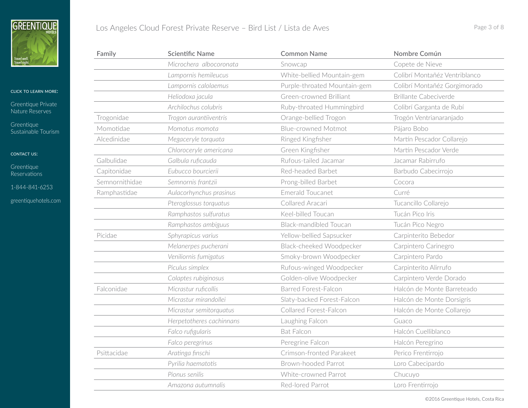

[Greentique Private](http://greentiquehotels.com/nature-reserves)  [Nature Reserves](http://greentiquehotels.com/nature-reserves)

[Greentique](http://greentiquehotels.com/sustainability)  [Sustainable Tourism](http://greentiquehotels.com/sustainability)

# CONTACT US:

[Greentique](http://greentiquehotels.com/reservations)  [Reserv](http://greentiquehotels.com/reservations)ations

1-844-841-6253

| Family         | <b>Scientific Name</b>   | <b>Common Name</b>            | Nombre Común                  |
|----------------|--------------------------|-------------------------------|-------------------------------|
|                | Microchera albocoronata  | Snowcap                       | Copete de Nieve               |
|                | Lampornis hemileucus     | White-bellied Mountain-gem    | Colibrí Montañéz Ventriblanco |
|                | Lampornis calolaemus     | Purple-throated Mountain-gem  | Colibrí Montañéz Gorgimorado  |
|                | Heliodoxa jacula         | Green-crowned Brilliant       | <b>Brillante Cabeciverde</b>  |
|                | Archilochus colubris     | Ruby-throated Hummingbird     | Colibrí Garganta de Rubí      |
| Trogonidae     | Trogon aurantiiventris   | Orange-bellied Trogon         | Trogón Ventrianaranjado       |
| Momotidae      | Momotus momota           | <b>Blue-crowned Motmot</b>    | Pájaro Bobo                   |
| Alcedinidae    | Megaceryle torquata      | Ringed Kingfisher             | Martín Pescador Collarejo     |
|                | Chloroceryle americana   | Green Kingfisher              | Martín Pescador Verde         |
| Galbulidae     | Galbula ruficauda        | Rufous-tailed Jacamar         | Jacamar Rabirrufo             |
| Capitonidae    | Eubucco bourcierii       | Red-headed Barbet             | Barbudo Cabecirrojo           |
| Semnornithidae | Semnornis frantzii       | Prong-billed Barbet           | Cocora                        |
| Ramphastidae   | Aulacorhynchus prasinus  | <b>Emerald Toucanet</b>       | Curré                         |
|                | Pteroglossus torquatus   | Collared Aracari              | Tucancillo Collarejo          |
|                | Ramphastos sulfuratus    | Keel-billed Toucan            | Tucán Pico Iris               |
|                | Ramphastos ambiguus      | <b>Black-mandibled Toucan</b> | Tucán Pico Negro              |
| Picidae        | Sphyrapicus varius       | Yellow-bellied Sapsucker      | Carpinterito Bebedor          |
|                | Melanerpes pucherani     | Black-cheeked Woodpecker      | Carpintero Carinegro          |
|                | Veniliornis fumigatus    | Smoky-brown Woodpecker        | Carpintero Pardo              |
|                | Piculus simplex          | Rufous-winged Woodpecker      | Carpinterito Alirrufo         |
|                | Colaptes rubiginosus     | Golden-olive Woodpecker       | Carpintero Verde Dorado       |
| Falconidae     | Micrastur ruficollis     | <b>Barred Forest-Falcon</b>   | Halcón de Monte Barreteado    |
|                | Micrastur mirandollei    | Slaty-backed Forest-Falcon    | Halcón de Monte Dorsigrís     |
|                | Micrastur semitorquatus  | Collared Forest-Falcon        | Halcón de Monte Collarejo     |
|                | Herpetotheres cachinnans | Laughing Falcon               | Guaco                         |
|                | Falco rufigularis        | <b>Bat Falcon</b>             | Halcón Cuelliblanco           |
|                | Falco peregrinus         | Peregrine Falcon              | Halcón Peregrino              |
| Psittacidae    | Aratinga finschi         | Crimson-fronted Parakeet      | Perico Frentirrojo            |
|                | Pyrilia haematotis       | Brown-hooded Parrot           | Loro Cabecipardo              |
|                | Pionus senilis           | White-crowned Parrot          | Chucuyo                       |
|                | Amazona autumnalis       | Red-Iored Parrot              | Loro Frentirrojo              |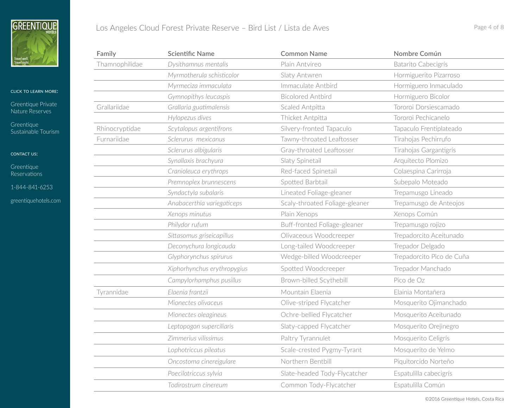

## click to learn more:

[Greentique Private](http://greentiquehotels.com/nature-reserves)  [Nature Reserves](http://greentiquehotels.com/nature-reserves)

[Greentique](http://greentiquehotels.com/sustainability)  [Sustainable Tourism](http://greentiquehotels.com/sustainability)

CONTACT US:

[Greentique](http://greentiquehotels.com/reservations)  [Reserv](http://greentiquehotels.com/reservations)ations

1-844-841-6253

| Los Angeles Cloud Forest Private Reserve - Bird List / Lista de Aves<br>Page 4 of 8 |  |
|-------------------------------------------------------------------------------------|--|
|-------------------------------------------------------------------------------------|--|

| Family         | <b>Scientific Name</b>      | <b>Common Name</b>             | Nombre Común              |
|----------------|-----------------------------|--------------------------------|---------------------------|
| Thamnophilidae | Dysithamnus mentalis        | Plain Antvireo                 | Batarito Cabecigrís       |
|                | Myrmotherula schisticolor   | Slaty Antwren                  | Hormiguerito Pizarroso    |
|                | Myrmeciza immaculata        | Immaculate Antbird             | Hormiguero Inmaculado     |
|                | Gymnopithys leucaspis       | <b>Bicolored Antbird</b>       | Hormiguero Bicolor        |
| Grallariidae   | Grallaria guatimalensis     | Scaled Antpitta                | Tororoi Dorsiescamado     |
|                | Hylopezus dives             | Thicket Antpitta               | Tororoi Pechicanelo       |
| Rhinocryptidae | Scytalopus argentifrons     | Silvery-fronted Tapaculo       | Tapaculo Frentiplateado   |
| Furnariidae    | Sclerurus mexicanus         | Tawny-throated Leaftosser      | Tirahojas Pechirrufo      |
|                | Sclerurus albigularis       | Gray-throated Leaftosser       | Tirahojas Gargantigrís    |
|                | Synallaxis brachyura        | Slaty Spinetail                | Arquitecto Plomizo        |
|                | Cranioleuca erythrops       | Red-faced Spinetail            | Colaespina Carirroja      |
|                | Premnoplex brunnescens      | Spotted Barbtail               | Subepalo Moteado          |
|                | Syndactyla subalaris        | Lineated Foliage-gleaner       | Trepamusgo Lineado        |
|                | Anabacerthia variegaticeps  | Scaly-throated Foliage-gleaner | Trepamusgo de Anteojos    |
|                | Xenops minutus              | Plain Xenops                   | Xenops Común              |
|                | Philydor rufum              | Buff-fronted Foliage-gleaner   | Trepamusgo rojizo         |
|                | Sittasomus griseicapillus   | Olivaceous Woodcreeper         | Trepadorcito Aceitunado   |
|                | Deconychura longicauda      | Long-tailed Woodcreeper        | Trepador Delgado          |
|                | Glyphorynchus spirurus      | Wedge-billed Woodcreeper       | Trepadorcito Pico de Cuña |
|                | Xiphorhynchus erythropygius | Spotted Woodcreeper            | Trepador Manchado         |
|                | Campylorhamphus pusillus    | Brown-billed Scythebill        | Pico de Oz                |
| Tyrannidae     | Elaenia frantzii            | Mountain Elaenia               | Elainia Montañera         |
|                | Mionectes olivaceus         | Olive-striped Flycatcher       | Mosquerito Ojimanchado    |
|                | Mionectes oleagineus        | Ochre-bellied Flycatcher       | Mosquerito Aceitunado     |
|                | Leptopogon superciliaris    | Slaty-capped Flycatcher        | Mosquerito Orejinegro     |
|                | Zimmerius vilissimus        | Paltry Tyrannulet              | Mosquerito Celigrís       |
|                | Lophotriccus pileatus       | Scale-crested Pygmy-Tyrant     | Mosquerito de Yelmo       |
|                | Oncostoma cinereigulare     | Northern Bentbill              | Piquitorcido Norteño      |
|                | Poecilotriccus sylvia       | Slate-headed Tody-Flycatcher   | Espatulilla cabecigrís    |
|                | Todirostrum cinereum        | Common Tody-Flycatcher         | Espatulilla Común         |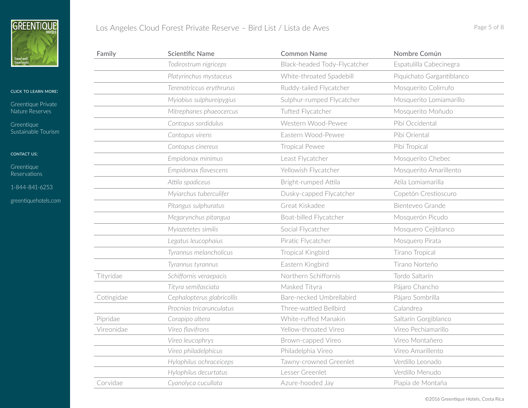

[Greentique Private](http://greentiquehotels.com/nature-reserves)  [Nature Reserves](http://greentiquehotels.com/nature-reserves)

[Greentique](http://greentiquehotels.com/sustainability)  [Sustainable Tourism](http://greentiquehotels.com/sustainability)

CONTACT US:

[Greentique](http://greentiquehotels.com/reservations)  [Reserv](http://greentiquehotels.com/reservations)ations

1-844-841-6253

| Los Angeles Cloud Forest Private Reserve – Bird List / Lista de Aves | Page 5 of 8 |  |
|----------------------------------------------------------------------|-------------|--|
|----------------------------------------------------------------------|-------------|--|

| Family     | <b>Scientific Name</b>     | <b>Common Name</b>           | Nombre Común              |
|------------|----------------------------|------------------------------|---------------------------|
|            | Todirostrum nigriceps      | Black-headed Tody-Flycatcher | Espatulilla Cabecinegra   |
|            | Platyrinchus mystaceus     | White-throated Spadebill     | Piquichato Gargantiblanco |
|            | Terenotriccus erythrurus   | Ruddy-tailed Flycatcher      | Mosquerito Colirrufo      |
|            | Myiobius sulphureipygius   | Sulphur-rumped Flycatcher    | Mosquerito Lomiamarillo   |
|            | Mitrephanes phaeocercus    | Tufted Flycatcher            | Mosquerito Moñudo         |
|            | Contopus sordidulus        | Western Wood-Pewee           | Pibí Occidental           |
|            | Contopus virens            | Eastern Wood-Pewee           | Pibí Oriental             |
|            | Contopus cinereus          | <b>Tropical Pewee</b>        | Pibí Tropical             |
|            | Empidonax minimus          | Least Flycatcher             | Mosquerito Chebec         |
|            | Empidonax flavescens       | Yellowish Flycatcher         | Mosquerito Amarillento    |
|            | Attila spadiceus           | Bright-rumped Attila         | Atila Lomiamarilla        |
|            | Myiarchus tuberculifer     | Dusky-capped Flycatcher      | Copetón Crestioscuro      |
|            | Pitangus sulphuratus       | Great Kiskadee               | Bienteveo Grande          |
|            | Megarynchus pitangua       | Boat-billed Flycatcher       | Mosquerón Picudo          |
|            | Myiozetetes similis        | Social Flycatcher            | Mosquero Cejiblanco       |
|            | Legatus leucophaius        | Piratic Flycatcher           | Mosquero Pirata           |
|            | Tyrannus melancholicus     | Tropical Kingbird            | Tirano Tropical           |
|            | Tyrannus tyrannus          | Eastern Kingbird             | Tirano Norteño            |
| Tityridae  | Schiffornis veraepacis     | Northern Schiffornis         | Tordo Saltarín            |
|            | Tityra semifasciata        | Masked Tityra                | Pájaro Chancho            |
| Cotingidae | Cephalopterus glabricollis | Bare-necked Umbrellabird     | Pájaro Sombrilla          |
|            | Procnias tricarunculatus   | Three-wattled Bellbird       | Calandrea                 |
| Pipridae   | Corapipo altera            | White-ruffed Manakin         | Saltarín Gorgiblanco      |
| Vireonidae | Vireo flavifrons           | Yellow-throated Vireo        | Vireo Pechiamarillo       |
|            | Vireo leucophrys           | Brown-capped Vireo           | Vireo Montañero           |
|            | Vireo philadelphicus       | Philadelphia Vireo           | Vireo Amarillento         |
|            | Hylophilus ochraceiceps    | Tawny-crowned Greenlet       | Verdillo Leonado          |
|            | Hylophilus decurtatus      | Lesser Greenlet              | Verdillo Menudo           |
| Corvidae   | Cyanolyca cucullata        | Azure-hooded Jay             | Piapia de Montaña         |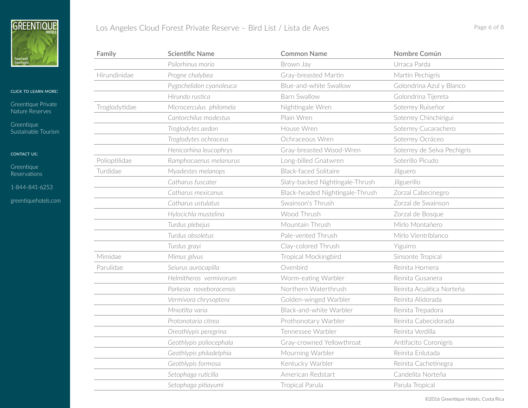

[Greentique Private](http://greentiquehotels.com/nature-reserves)  [Nature Reserves](http://greentiquehotels.com/nature-reserves)

[Greentique](http://greentiquehotels.com/sustainability)  [Sustainable Tourism](http://greentiquehotels.com/sustainability)

CONTACT US:

[Greentique](http://greentiquehotels.com/reservations)  [Reserv](http://greentiquehotels.com/reservations)ations

1-844-841-6253

[greentiquehotels.com](http://greentiquehotels.com)

| Family        | <b>Scientific Name</b>  | <b>Common Name</b>              | Nombre Común                |
|---------------|-------------------------|---------------------------------|-----------------------------|
|               | Psilorhinus morio       | Brown Jay                       | Urraca Parda                |
| Hirundinidae  | Progne chalybea         | Gray-breasted Martin            | Martín Pechigrís            |
|               | Pygochelidon cyanoleuca | Blue-and-white Swallow          | Golondrina Azul y Blanco    |
|               | Hirundo rustica         | <b>Barn Swallow</b>             | Golondrina Tijereta         |
| Troglodytidae | Microcerculus philomela | Nightingale Wren                | Soterrey Ruiseñor           |
|               | Cantorchilus modestus   | Plain Wren                      | Soterrey Chinchirigui       |
|               | Troglodytes aedon       | House Wren                      | Soterrey Cucarachero        |
|               | Troglodytes ochraceus   | Ochraceous Wren                 | Soterrey Ocráceo            |
|               | Henicorhina leucophrys  | Gray-breasted Wood-Wren         | Soterrey de Selva Pechigrís |
| Polioptilidae | Ramphocaenus melanurus  | Long-billed Gnatwren            | Soterillo Picudo            |
| Turdidae      | Myadestes melanops      | <b>Black-faced Solitaire</b>    | Jilguero                    |
|               | Catharus fuscater       | Slaty-backed Nightingale-Thrush | Jilguerillo                 |
|               | Catharus mexicanus      | Black-headed Nightingale-Thrush | Zorzal Cabecinegro          |
|               | Catharus ustulatus      | Swainson's Thrush               | Zorzal de Swainson          |
|               | Hylocichla mustelina    | Wood Thrush                     | Zorzal de Bosque            |
|               | Turdus plebejus         | Mountain Thrush                 | Mirlo Montañero             |
|               | Turdus obsoletus        | Pale-vented Thrush              | Mirlo Vientriblanco         |
|               | Turdus grayi            | Clay-colored Thrush             | Yiguirro                    |
| Mimidae       | Mimus gilvus            | <b>Tropical Mockingbird</b>     | Sinsonte Tropical           |
| Parulidae     | Seiurus aurocapilla     | Ovenbird                        | Reinita Hornera             |
|               | Helmitheros vermivorum  | Worm-eating Warbler             | Reinita Gusanera            |
|               | Parkesia noveboracensis | Northern Waterthrush            | Reinita Acuática Norteña    |
|               | Vermivora chrysoptera   | Golden-winged Warbler           | Reinita Alidorada           |
|               | Mniotilta varia         | Black-and-white Warbler         | Reinita Trepadora           |
|               | Protonotaria citrea     | Prothonotary Warbler            | Reinita Cabecidorada        |
|               | Oreothlypis peregrina   | Tennessee Warbler               | Reinita Verdilla            |
|               | Geothlypis poliocephala | Gray-crowned Yellowthroat       | Antifacito Coronigrís       |
|               | Geothlypis philadelphia | Mourning Warbler                | Reinita Enlutada            |
|               | Geothlypis formosa      | Kentucky Warbler                | Reinita Cachetinegra        |
|               | Setophaga ruticilla     | American Redstart               | Candelita Norteña           |
|               | Setophaga pitiayumi     | <b>Tropical Parula</b>          | Parula Tropical             |

©2016 Greentique Hotels, Costa Rica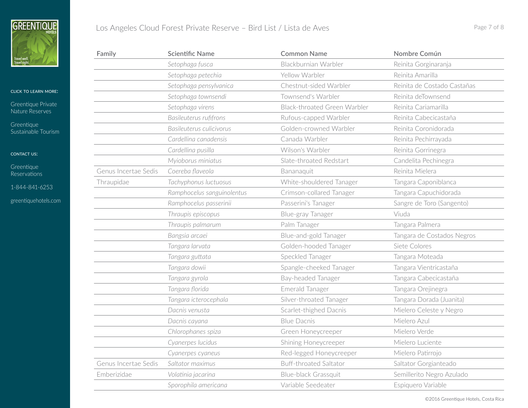

[Greentique Private](http://greentiquehotels.com/nature-reserves)  [Nature Reserves](http://greentiquehotels.com/nature-reserves)

[Greentique](http://greentiquehotels.com/sustainability)  [Sustainable Tourism](http://greentiquehotels.com/sustainability)

CONTACT US:

[Greentique](http://greentiquehotels.com/reservations)  [Reserv](http://greentiquehotels.com/reservations)ations

1-844-841-6253

[greentiquehotels.com](http://greentiquehotels.com)

| Family               | <b>Scientific Name</b>     | <b>Common Name</b>            | Nombre Común                |
|----------------------|----------------------------|-------------------------------|-----------------------------|
|                      | Setophaga fusca            | Blackburnian Warbler          | Reinita Gorginaranja        |
|                      | Setophaga petechia         | Yellow Warbler                | Reinita Amarilla            |
|                      | Setophaga pensylvanica     | Chestnut-sided Warbler        | Reinita de Costado Castañas |
|                      | Setophaga townsendi        | Townsend's Warbler            | Reinita deTownsend          |
|                      | Setophaga virens           | Black-throated Green Warbler  | Reinita Cariamarilla        |
|                      | Basileuterus rufifrons     | Rufous-capped Warbler         | Reinita Cabecicastaña       |
|                      | Basileuterus culicivorus   | Golden-crowned Warbler        | Reinita Coronidorada        |
|                      | Cardellina canadensis      | Canada Warbler                | Reinita Pechirrayada        |
|                      | Cardellina pusilla         | Wilson's Warbler              | Reinita Gorrinegra          |
|                      | Myioborus miniatus         | Slate-throated Redstart       | Candelita Pechinegra        |
| Genus Incertae Sedis | Coereba flaveola           | Bananaquit                    | Reinita Mielera             |
| Thraupidae           | Tachyphonus luctuosus      | White-shouldered Tanager      | Tangara Caponiblanca        |
|                      | Ramphocelus sanguinolentus | Crimson-collared Tanager      | Tangara Capuchidorada       |
|                      | Ramphocelus passerinii     | Passerini's Tanager           | Sangre de Toro (Sangento)   |
|                      | Thraupis episcopus         | Blue-gray Tanager             | Viuda                       |
|                      | Thraupis palmarum          | Palm Tanager                  | Tangara Palmera             |
|                      | Bangsia arcaei             | Blue-and-gold Tanager         | Tangara de Costados Negros  |
|                      | Tangara larvata            | Golden-hooded Tanager         | Siete Colores               |
|                      | Tangara guttata            | Speckled Tanager              | Tangara Moteada             |
|                      | Tangara dowii              | Spangle-cheeked Tanager       | Tangara Vientricastaña      |
|                      | Tangara gyrola             | Bay-headed Tanager            | Tangara Cabecicastaña       |
|                      | Tangara florida            | Emerald Tanager               | Tangara Orejinegra          |
|                      | Tangara icterocephala      | Silver-throated Tanager       | Tangara Dorada (Juanita)    |
|                      | Dacnis venusta             | Scarlet-thighed Dacnis        | Mielero Celeste y Negro     |
|                      | Dacnis cayana              | <b>Blue Dacnis</b>            | Mielero Azul                |
|                      | Chlorophanes spiza         | Green Honeycreeper            | Mielero Verde               |
|                      | Cyanerpes lucidus          | Shining Honeycreeper          | Mielero Luciente            |
|                      | Cyanerpes cyaneus          | Red-legged Honeycreeper       | Mielero Patirrojo           |
| Genus Incertae Sedis | Saltator maximus           | <b>Buff-throated Saltator</b> | Saltator Gorgianteado       |
| Emberizidae          | Volatinia jacarina         | Blue-black Grassquit          | Semillerito Negro Azulado   |
|                      | Sporophila americana       | Variable Seedeater            | Espiquero Variable          |

©2016 Greentique Hotels, Costa Rica